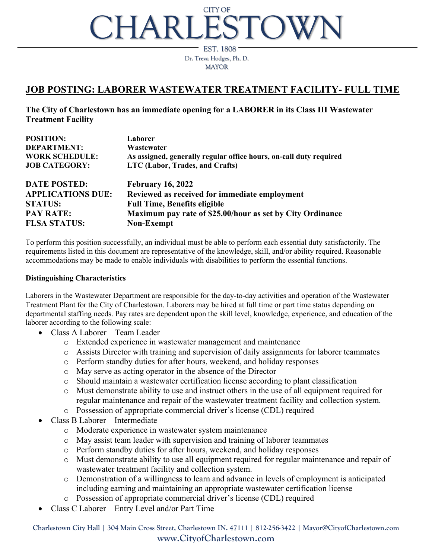# CHARLESTON CITY OF

Dr. Treva Hodges, Ph. D. MAYOR EST. 1808

# **JOB POSTING: LABORER WASTEWATER TREATMENT FACILITY- FULL TIME**

**The City of Charlestown has an immediate opening for a LABORER in its Class III Wastewater Treatment Facility**

| <b>POSITION:</b>         | Laborer                                                            |
|--------------------------|--------------------------------------------------------------------|
| <b>DEPARTMENT:</b>       | Wastewater                                                         |
| <b>WORK SCHEDULE:</b>    | As assigned, generally regular office hours, on-call duty required |
| <b>JOB CATEGORY:</b>     | LTC (Labor, Trades, and Crafts)                                    |
| <b>DATE POSTED:</b>      | <b>February 16, 2022</b>                                           |
| <b>APPLICATIONS DUE:</b> | Reviewed as received for immediate employment                      |
| <b>STATUS:</b>           | <b>Full Time, Benefits eligible</b>                                |
| <b>PAY RATE:</b>         | Maximum pay rate of \$25.00/hour as set by City Ordinance          |
| <b>FLSA STATUS:</b>      | <b>Non-Exempt</b>                                                  |

To perform this position successfully, an individual must be able to perform each essential duty satisfactorily. The requirements listed in this document are representative of the knowledge, skill, and/or ability required. Reasonable accommodations may be made to enable individuals with disabilities to perform the essential functions.

#### **Distinguishing Characteristics**

Laborers in the Wastewater Department are responsible for the day-to-day activities and operation of the Wastewater Treatment Plant for the City of Charlestown. Laborers may be hired at full time or part time status depending on departmental staffing needs. Pay rates are dependent upon the skill level, knowledge, experience, and education of the laborer according to the following scale:

- Class A Laborer Team Leader
	- o Extended experience in wastewater management and maintenance
	- o Assists Director with training and supervision of daily assignments for laborer teammates
	- o Perform standby duties for after hours, weekend, and holiday responses
	- o May serve as acting operator in the absence of the Director
	- o Should maintain a wastewater certification license according to plant classification
	- o Must demonstrate ability to use and instruct others in the use of all equipment required for regular maintenance and repair of the wastewater treatment facility and collection system.
	- o Possession of appropriate commercial driver's license (CDL) required
- Class B Laborer Intermediate
	- o Moderate experience in wastewater system maintenance
	- o May assist team leader with supervision and training of laborer teammates
	- o Perform standby duties for after hours, weekend, and holiday responses
	- o Must demonstrate ability to use all equipment required for regular maintenance and repair of wastewater treatment facility and collection system.
	- o Demonstration of a willingness to learn and advance in levels of employment is anticipated including earning and maintaining an appropriate wastewater certification license
	- o Possession of appropriate commercial driver's license (CDL) required
- Class C Laborer Entry Level and/or Part Time

**Charlestown City Hall | 304 Main Cross Street, Charlestown IN. 47111 | 812-256-3422 | Mayor@CityofCharlestown.com www.CityofCharlestown.com**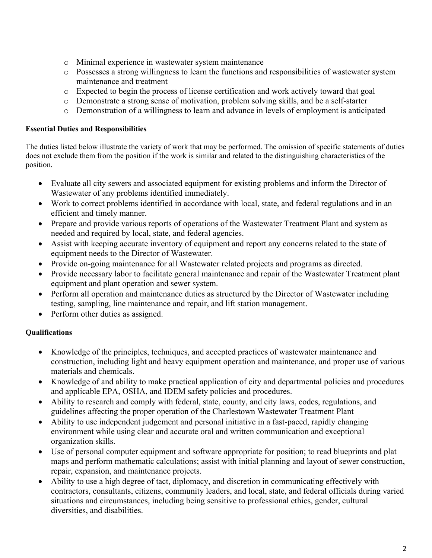- o Minimal experience in wastewater system maintenance
- o Possesses a strong willingness to learn the functions and responsibilities of wastewater system maintenance and treatment
- o Expected to begin the process of license certification and work actively toward that goal
- o Demonstrate a strong sense of motivation, problem solving skills, and be a self-starter
- o Demonstration of a willingness to learn and advance in levels of employment is anticipated

#### **Essential Duties and Responsibilities**

The duties listed below illustrate the variety of work that may be performed. The omission of specific statements of duties does not exclude them from the position if the work is similar and related to the distinguishing characteristics of the position.

- Evaluate all city sewers and associated equipment for existing problems and inform the Director of Wastewater of any problems identified immediately.
- Work to correct problems identified in accordance with local, state, and federal regulations and in an efficient and timely manner.
- Prepare and provide various reports of operations of the Wastewater Treatment Plant and system as needed and required by local, state, and federal agencies.
- Assist with keeping accurate inventory of equipment and report any concerns related to the state of equipment needs to the Director of Wastewater.
- Provide on-going maintenance for all Wastewater related projects and programs as directed.
- Provide necessary labor to facilitate general maintenance and repair of the Wastewater Treatment plant equipment and plant operation and sewer system.
- Perform all operation and maintenance duties as structured by the Director of Wastewater including testing, sampling, line maintenance and repair, and lift station management.
- Perform other duties as assigned.

### **Qualifications**

- Knowledge of the principles, techniques, and accepted practices of wastewater maintenance and construction, including light and heavy equipment operation and maintenance, and proper use of various materials and chemicals.
- Knowledge of and ability to make practical application of city and departmental policies and procedures and applicable EPA, OSHA, and IDEM safety policies and procedures.
- Ability to research and comply with federal, state, county, and city laws, codes, regulations, and guidelines affecting the proper operation of the Charlestown Wastewater Treatment Plant
- Ability to use independent judgement and personal initiative in a fast-paced, rapidly changing environment while using clear and accurate oral and written communication and exceptional organization skills.
- Use of personal computer equipment and software appropriate for position; to read blueprints and plat maps and perform mathematic calculations; assist with initial planning and layout of sewer construction, repair, expansion, and maintenance projects.
- Ability to use a high degree of tact, diplomacy, and discretion in communicating effectively with contractors, consultants, citizens, community leaders, and local, state, and federal officials during varied situations and circumstances, including being sensitive to professional ethics, gender, cultural diversities, and disabilities.